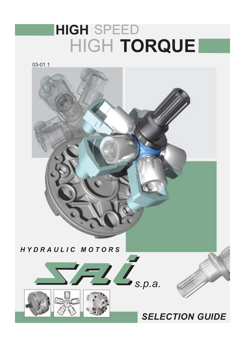# **HIGH SPEED** HIGH TORQUE

 $03 - 01.1$ 

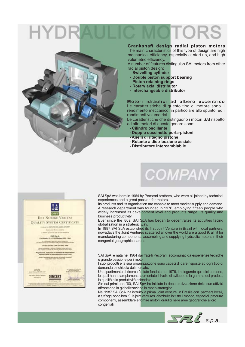

#### Crankshaft design radial piston motors

The main characteristics of this type of design are high mechanical efficiency, especially at start up, and high volumetric efficiency.

A number of features distinguish SAI motors from other radial piston design:

- Swivelling cylinder
- Double piston support bearing
- Piston retaining rings
- Rotary axial distributor
- Interchangeable distributor

Motori idraulici ad albero eccentrico Le caratteristiche di questo tipo di motore sono il rendimento meccanico, in particolare allo spunto, ed i rendimenti volumetrici.

Le caratteristiche che distinguono i motori SAI rispetto ad altri motori di questo genere sono:

**COMPANY** 

- Cilindro oscillante
- Doppio cuscinetto porta-pistoni
- Anelli di ritegno pistone
- Rotante a distribuzione assiale
- Distributore intercambiabile



SAI SpA was born in 1964 by Pecorari brothers, who were all joined by technical experiences and a great passion for motors.

Its products and its organisation are capable to meet market supply and demand. A research department was founded in 1976, employing fifteen people who widely increased its development level and products range, its quality and business productivity.

Ever since the '80s, SAI SpA has began to decentralize its activities facing globalisation in a strategic way.

In 1987 SAI SpA established its first Joint Venture in Brazil with local partners, nowadays the Joint Ventures scattered all over the world are a good 9, all fit for manufacturing components, assembling and supplying hydraulic motors in their congenial geographical areas.

SAI SpA è nata nel 1964 dai fratelli Pecorari, accomunati da esperienze tecniche e grande passione per i motori.

I suoi prodotti e la sua organizzazione sono capaci di dare risposte ad ogni tipo di domanda e richiesta del mercato.

Un dipartimento di ricerca è stato fondato nel 1976, impiegando quindici persone, le quali hanno ampiamente aumentato il livello di sviluppo e la gamma dei prodotti, la qualità e la produttività aziendale.

Sin dai primi anni '80, SAI SpA ha iniziato la decentralizzazione delle sue attività affrontando la globalizzazione in modo strategico.

Nel 1987 SAI SpA ha istituito la prima Joint Venture in Brasile con partners locali, a tutt'oggi sono ben 9 le joint ventures distribuite in tutto il mondo, capaci di produrre componenti, assemblare e fornire motori idraulici nelle aree geografiche a loro congeniali.

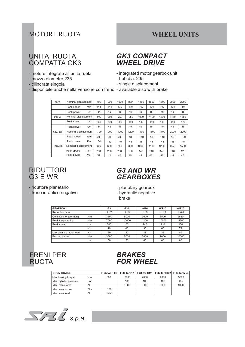#### **MOTORI RUOTA**

#### **WHEEL UNITS**

#### **UNITA' RUOTA COMPATTA GK3**

- motore integrato all'unità ruota
- mozzo diametro 235
- cilindrata singola

#### - disponibile anche nella versione con freno - available also with brake

#### **GK3 COMPACT WHEEL DRIVE**

- integrated motor gearbox unit
- hub dia. 235
- single displacement
- 

| GK3     | Nominal displacement |     | 700 | 900 | 1000 | 1200 | 1400 | 1500 | 1700 | 2000 | 2200 |
|---------|----------------------|-----|-----|-----|------|------|------|------|------|------|------|
|         | Peak speed           | rpm | 143 | 143 | 130  | 115  | 100  | 100  | 100  | 100  | 85   |
|         | Peak power           | Kw  | 34  | 42  | 45   | 45   | 45   | 45   | 45   | 45   | 45   |
| GK3A    | Nominal displacement |     | 500 | 650 | 750  | 850  | 1000 | 1100 | 1200 | 1450 | 1550 |
|         | Peak speed           | rpm | 200 | 200 | 200  | 180  | 140  | 140  | 140  | 140  | 120  |
|         | Peak power           | Kw  | 34  | 42  | 45   | 45   | 45   | 45   | 45   | 45   | 45   |
| GK3 DF  | Nominal displacement |     | 700 | 900 | 1000 | 1200 | 1400 | 1500 | 1700 | 2000 | 2200 |
|         | Peak speed           | rpm | 200 | 200 | 200  | 180  | 140  | 140  | 140  | 140  | 120  |
|         | Peak power           | Kw  | 34  | 42  | 45   | 45   | 45   | 45   | 45   | 45   | 45   |
| GK3 ADF | Nominal displacement |     | 500 | 650 | 750  | 850  | 1000 | 1100 | 1200 | 1450 | 1550 |
|         | Peak speed           | rpm | 200 | 200 | 200  | 180  | 140  | 140  | 140  | 140  | 120  |
|         | Peak power           | Kw  | 34  | 42  | 45   | 45   | 45   | 45   | 45   | 45   | 45   |

#### **RIDUTTORI**  $G3$  E WR

#### **G3 AND WR GEARBOXES**

- riduttore planetario

- freno idraulico negativo

- planetary gearbox - hydraulic negative

| prak |
|------|
|------|

| <b>GEARBOX</b>          |     | G3   | G <sub>3</sub> A | WR <sub>6</sub> | <b>WR10</b> | <b>WR20</b> |
|-------------------------|-----|------|------------------|-----------------|-------------|-------------|
| Reduction ratio         |     | 1:7  | 1:5              | 1:5             | 1:4.8       | 1:6,6       |
| Continuos torque rating | Nm  | 3500 | 5000             | 3000            | 6500        | 9650        |
| Peak torque rating      | Nm  | 7000 | 10000            | 4200            | 10000       | 14500       |
| Peak speed              | rpm | 200  | $00 \,$          | 240             | 210         | 150         |
|                         | Кn  | 40   | 40               | 33              | 60          | 72          |
| Max dinamic radial load | Кn  | 20   | 20               | 18              | 33          | 40          |
| <b>Braking torque</b>   | Nm  | 3500 | 5000             | 3000            | 7000        | 10000       |
|                         | bar | 50   | 50               | 60              | 60          | 60          |

#### **FRENI PER RUOTA**



| <b>DRUM DRAKE</b>      |                |      |      |      | F 25 for P 05   F 30 for P 1   F 31 for GM1   F 32 for GM2   F 34 for M 4 |      |
|------------------------|----------------|------|------|------|---------------------------------------------------------------------------|------|
| Max braking torque     | N <sub>m</sub> | 500  | 2000 | 2000 | 2000                                                                      | 3000 |
| Max. cylinder pressure | bar            |      | 100  | 100  | 100                                                                       | 105  |
| Max. cable force       | N              |      | 1800 | 800  | 800                                                                       | 1020 |
| Max. lever torque      | Nm             | 100  |      |      |                                                                           |      |
| Max. lever load        | Ν              | 1250 |      |      |                                                                           |      |

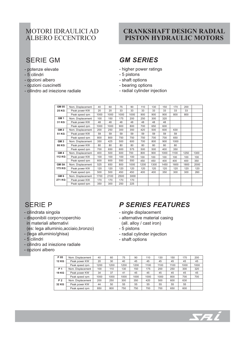### MOTORI IDRAULICI AD **ALBERO ECCENTRICO**

### **SERIE GM**

- potenze elevate
- 5 cilindri
- opzioni albero
- opzioni cuscinetti
- cilindro ad iniezione radiale

#### **CRANKSHAFT DESIGN RADIAL** PISTON HYDRAULIC MOTORS

### **GM SERIES**

- higher power ratings
- 5 pistons
- shaft options
- bearing options
- radial cylinder injection

| <b>GM 05</b>     | Nom. Displacement | 40   | 60   | 75   | 90   | 110  | 130  | 150  | 170  | 200  |      |
|------------------|-------------------|------|------|------|------|------|------|------|------|------|------|
| <b>25 KG</b>     | Peak power KW     | 20   | 20   | 33   | 33   | 33   | 33   | 33   | 33   | 33   |      |
|                  | Peak speed rpm    | 1000 | 1000 | 1000 | 1000 | 900  | 900  | 900  | 800  | 800  |      |
| GM <sub>1</sub>  | Nom. Displacement | 100  | 150  | 175  | 200  | 250  | 300  | 320  |      |      |      |
| 31 KG            | Peak power KW     | 48   | 48   | 48   | 48   | 48   | 48   | 48   |      |      |      |
|                  | Peak speed rpm    | 1000 | 1000 | 900  | 800  | 700  | 650  | 600  |      |      |      |
| GM <sub>2</sub>  | Nom. Displacement | 200  | 250  | 300  | 350  | 420  | 500  | 600  | 630  |      |      |
| 51 KG            | Peak power KW     | 59   | 59   | 59   | 59   | 59   | 59   | 59   | 59   |      |      |
|                  | Peak speed rpm    | 800  | 800  | 750  | 750  | 750  | 700  | 700  | 650  |      |      |
| GM <sub>3</sub>  | Nom. Displacement | 350  | 425  | 500  | 600  | 700  | 800  | 900  | 1000 |      |      |
| 86 KG            | Peak power KW     | 80   | 80   | 80   | 80   | 80   | 80   | 80   | 80   |      |      |
|                  | Peak speed rpm    | 700  | 650  | 600  | 575  | 500  | 500  | 400  | 350  |      |      |
| GM <sub>4</sub>  | Nom. Displacement | 400  | 500  | 600  | 700  | 800  | 900  | 1000 | 1100 | 1250 | 1300 |
| <b>112 KG</b>    | Peak power KW     | 100  | 100  | 100  | 100  | 100  | 100  | 100  | 100  | 100  | 100  |
|                  | Peak speed rpm    | 600  | 600  | 550  | 550  | 450  | 450  | 400  | 400  | 400  | 350  |
| GM <sub>5A</sub> | Nom. Displacement | 525  | 650  | 800  | 1000 | 1200 | 1300 | 1450 | 1600 | 1800 | 2000 |
| 175 KG           | Peak power KW     | 120  | 120  | 120  | 120  | 120  | 120  | 120  | 120  | 120  | 120  |
|                  | Peak speed rpm    | 500  | 500  | 450  | 450  | 400  | 400  | 350  | 300  | 300  | 260  |
| GM <sub>6</sub>  | Nom. Displacement | 1700 | 2100 | 2500 | 3000 |      |      |      |      |      |      |
| 271 KG           | Peak power KW     | 170  | 170  | 170  | 170  |      |      |      |      |      |      |
|                  | Peak speed rpm    | 350  | 300  | 250  | 225  |      |      |      |      |      |      |
|                  |                   |      |      |      |      |      |      |      |      |      |      |

#### **SFRIF P**

- cilindrata singola
- disponibili corpo+coperchio in materiali alternativi (es: lega alluminio, acciaio, bronzo)
- (lega alluminio/ghisa)
- 5 cilindri
- cilindro ad iniezione radiale
- opzioni albero

### **P SERIES FEATURES**

- single displacement
- alternative material casing (all. alloy / cast iron)
- 5 pistons
- radial cylinder injection
- shaft options

| P 05  | Nom. Displacement | 40   | 60   | 75   | 90   | 110  | 130  | 150  | 170  | 200  |
|-------|-------------------|------|------|------|------|------|------|------|------|------|
| 12 KG | Peak power KW     | 20   | 30   | 40   | 45   | 45   | 45   | 45   | 45   | 45   |
|       | Peak speed rpm    | 1200 | 1200 | 1200 | 1200 | 1100 | 1100 | 1100 | 1000 | 1000 |
| P 1   | Nom. Displacement | 100  | 110  | 130  | 150  | 175  | 200  | 250  | 300  | 320  |
| 19 KG | Peak power KW     | 34   | 37   | 41   | 45   | 45   | 45   | 45   | 45   | 45   |
|       | Peak speed rpm    | 1000 | 1000 | 1000 | 1000 | 1000 | 1000 | 800  | 700  | 700  |
| P 2   | Nom. Displacement | 200  | 250  | 300  | 350  | 420  | 500  | 600  | 630  |      |
| 32 KG | Peak power KW     | 44   | 50   | 55   | 55   | 55   | 55   | 55   | 55   |      |
|       | Peak speed rpm    | 850  | 800  | 750  | 750  | 700  | 700  | 650  | 600  |      |

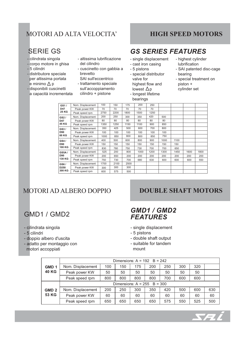### MOTORI AD ALTA VELOCITA'

#### **HIGH SPEED MOTORS**

#### **SERIE GS**

- cilindrata singola
- corpo motore in ghisa
- 5 cilindri
- distributore speciale per altissima portata e minimo  $\Delta p$
- disponibili cuscinetti a capacità incrementata
- altissima lubrificazione del cilindro
- cuscinetto con gabbia a brevetto
- SAI sull'eccentrico - trattamento speciale
- sull'accoppiamento cilindro + pistone

- **GS SERIES FEATURES**
- single displacement
- cast iron casing
- 5 pistons
- special distributor valve for highest flow and lowest  $\Delta p$ - longest lifetime bearings
- highest cylinder lubrification
- SAI patented disc-cage bearing
- special treatment on  $piston +$ cylinder set

| GS1/             | Nom. Displacement | 100  | 150  | 175  | 200  | 250  |      |      |      |      |
|------------------|-------------------|------|------|------|------|------|------|------|------|------|
| D47              | Peak power KW     | 70   | 70   | 70   | 70   | 70   |      |      |      |      |
| <b>25 KG</b>     | Peak speed rpm    | 2750 | 2200 | 1800 | 1500 | 1250 |      |      |      |      |
| GS2/             | Nom. Displacement | 200  | 250  | 300  | 350  | 420  | 500  |      |      |      |
| D47              | Peak power KW     | 80   | 80   | 80   | 80   | 80   | 80   |      |      |      |
| 45 KG            | Peak speed rpm    | 1350 | 1250 | 1150 | 1100 | 900  | 850  |      |      |      |
| GS3/             | Nom. Displacement | 350  | 425  | 500  | 600  | 700  | 800  |      |      |      |
| D90              | Peak power KW     | 100  | 100  | 100  | 100  | 100  | 100  |      |      |      |
| 60 KG            | Peak speed rpm    | 1000 | 850  | 800  | 800  | 850  | 750  |      |      |      |
| GS4/             | Nom. Displacement | 400  | 500  | 600  | 800  | 900  | 1000 | 1100 |      |      |
| <b>D90</b>       | Peak power KW     | 150  | 150  | 150  | 150  | 150  | 150  | 150  |      |      |
| 100 KG           | Peak speed rpm    | 830  | 780  | 750  | 730  | 700  | 700  | 650  |      |      |
| <b>GS5A/</b>     | Nom. Displacement | 525  | 200  | 800  | 1000 | 1200 | 1300 | 1450 | 1600 | 1800 |
| <b>D90</b>       | Peak power KW     | 200  | 650  | 200  | 200  | 200  | 200  | 200  | 200  | 200  |
| 130 KG           | Peak speed rpm    | 750  | 730  | 700  | 680  | 630  | 600  | 600  | 600  | 550  |
| GS6/             | Nom. Displacement | 1700 | 2100 | 2500 |      |      |      |      |      |      |
| D <sub>250</sub> | Peak power KW     | 300  | 300  | 300  |      |      |      |      |      |      |
| 300 KG           | Peak speed rpm    | 600  | 575  | 500  |      |      |      |      |      |      |
|                  |                   |      |      |      |      |      |      |      |      |      |

### **MOTORI AD ALBERO DOPPIO**

### GMD1 / GMD2

- cilindrata singola
- 5 cilindri
- doppio albero d'uscita
- adatto per montaggio con motori accoppiati

#### **DOUBLE SHAFT MOTORS**

#### GMD1 / GMD2 **FEATURES**

- single displacement
- 5 pistons
- double shaft output
- suitable for tandem

mount

|                  | Dimensions: $A = 192$ B = 242 |     |     |     |     |     |     |     |     |  |  |
|------------------|-------------------------------|-----|-----|-----|-----|-----|-----|-----|-----|--|--|
| GMD <sub>1</sub> | Nom. Displacement             | 100 | 150 | 175 | 200 | 250 | 300 | 320 |     |  |  |
| <b>40 KG</b>     | Peak power KW                 | 50  | 50  | 50  | 50  | 50  | 50  | 50  |     |  |  |
|                  | Peak speed rpm                | 800 | 800 | 800 | 800 | 700 | 600 | 600 |     |  |  |
|                  | Dimensions: $A = 255$ B = 300 |     |     |     |     |     |     |     |     |  |  |
| GMD <sub>2</sub> | Nom. Displacement             | 200 | 250 | 300 | 350 | 420 | 500 | 600 | 630 |  |  |
| 53 KG            | Peak power KW                 | 60  | 60  | 60  | 60  | 60  | 60  | 60  | 60  |  |  |
|                  | Peak speed rpm                | 650 | 650 | 650 | 650 | 575 | 550 | 525 | 500 |  |  |

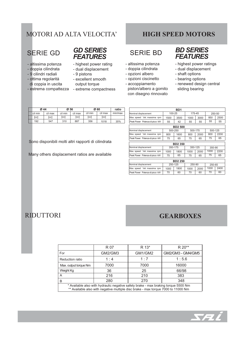### **MOTORI AD ALTA VELOCITA'**

### **SFRIF GD**

- altissima potenza
- doppia cilindrata
- 9 cilindri radiali
- ottima regolarità di coppia in uscita
- 

#### **GD SERIES FEATURES**

- highest power rating
	- dual displacement
	- 9 pistons
	- excellent smooth
	- output torque
- estrema compattezza extreme compactness

#### **HIGH SPEED MOTORS**

### **SFRIF BD**

- altissima potenza
- doppia cilindrata
- opzioni albero
- opzioni ciscinetto
- accoppiamento
- piston/albero a gomito con disegno rinnovato

#### **BD SERIES FEATURES**

- highest power ratings
- dual displacement
- shaft options
- bearing options
- renewed design central sliding bearing

| Ø 44    |         | Ø 56    |         | Ø 60    | ratio   |         |
|---------|---------|---------|---------|---------|---------|---------|
| cil min | cil max | cil min | cil max | cil min | cil max | min/max |
| [cc]    | [cc]    | [cc]    | [cc]    | [cc]    | [cc]    |         |
| 192     | 547     | 310     | 887     | 356     | 1018    | 35%     |

Sono disponibili molti altri rapporti di cilindrata

Many others displacement ratios are available

|                                | B <sub>D</sub> 1 |                |         |        |         |        |  |  |
|--------------------------------|------------------|----------------|---------|--------|---------|--------|--|--|
| Nominal displacement           | 100-25           |                |         | 175-45 |         | 250-50 |  |  |
| Max. speed Vel. massima rpm    | 1500             | 3500           | 1000    | 3000   | 850     | 2500   |  |  |
| Peak Power Potenza di picco kW | 55               | 42             | 55      | 55     | 55      | 55     |  |  |
|                                |                  | <b>BD2 500</b> |         |        |         |        |  |  |
| Nominal displacement           |                  | 500-250        | 500-175 |        | 500-125 |        |  |  |
| Max. speed Vel. massima rpm    | 800              | 1600           | 800     | 2000   | 800     | 2200   |  |  |
| Peak Power Potenza di picco kW | 75               | 65             | 75      | 65     | 75      | 65     |  |  |
|                                |                  | <b>BD2350</b>  |         |        |         |        |  |  |
| Nominal displacement           | 350-175          |                | 350-125 |        | 350-90  |        |  |  |
| Max. speed Vel. massima rpm    | 1000             | 1800           | 1000    | 2000   | 1000    | 2200   |  |  |
| Peak Power Potenza di picco kW | 75               | 65             | 75      | 65     | 75      | 65     |  |  |
| <b>BD2 250</b>                 |                  |                |         |        |         |        |  |  |
| Nominal displacement           | 250-125          |                | 250-90  |        | 250-65  |        |  |  |
| Max. speed Vel. massima rpm    | 1000             | 1800           | 1000    | 2000   | 1000    | 2400   |  |  |
| Peak Power Potenza di picco kW | 70               | 60             | 70      | 60     | 70      | 60     |  |  |

#### **RIDUTTORI**

#### **GEARBOXES**

|                                                                                                                                                                         | R 07              | R 13*   | $R 20**$          |  |  |  |  |  |  |
|-------------------------------------------------------------------------------------------------------------------------------------------------------------------------|-------------------|---------|-------------------|--|--|--|--|--|--|
| For                                                                                                                                                                     | GM2/GM3           | GM1/GM2 | GM2/GM3 - GM4/GM5 |  |  |  |  |  |  |
| Reduction ratio                                                                                                                                                         | 1:4               | 1:7     | 1:5.6             |  |  |  |  |  |  |
| Max. output torque Nm                                                                                                                                                   | 7000              | 7000    | 16000             |  |  |  |  |  |  |
| Weight Kg                                                                                                                                                               | 36                | 25      | 66/98             |  |  |  |  |  |  |
| A                                                                                                                                                                       | 216               | 210     | 383               |  |  |  |  |  |  |
| B                                                                                                                                                                       | 280<br>270<br>348 |         |                   |  |  |  |  |  |  |
| * Available also with hydraulic negative safety brake - max braking torque 5500 Nm<br>** Available also with negative multiple disc brake - max torque 7000 to 11000 Nm |                   |         |                   |  |  |  |  |  |  |

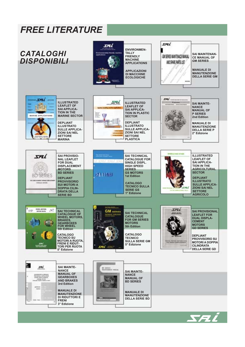### **FREE LITERATURE**